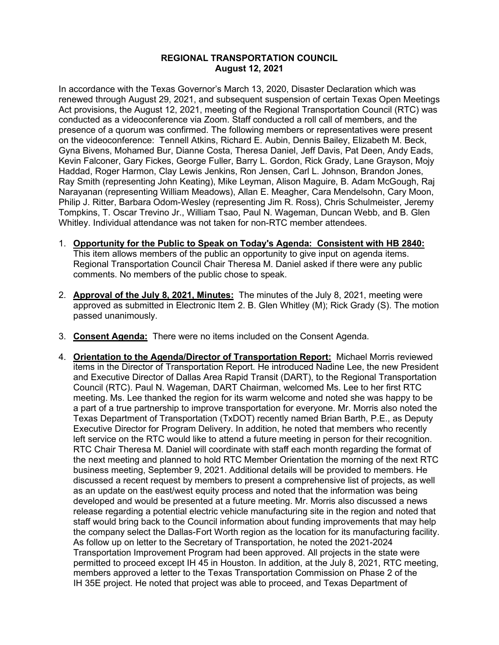## **REGIONAL TRANSPORTATION COUNCIL August 12, 2021**

In accordance with the Texas Governor's March 13, 2020, Disaster Declaration which was renewed through August 29, 2021, and subsequent suspension of certain Texas Open Meetings Act provisions, the August 12, 2021, meeting of the Regional Transportation Council (RTC) was conducted as a videoconference via Zoom. Staff conducted a roll call of members, and the presence of a quorum was confirmed. The following members or representatives were present on the videoconference: Tennell Atkins, Richard E. Aubin, Dennis Bailey, Elizabeth M. Beck, Gyna Bivens, Mohamed Bur, Dianne Costa, Theresa Daniel, Jeff Davis, Pat Deen, Andy Eads, Kevin Falconer, Gary Fickes, George Fuller, Barry L. Gordon, Rick Grady, Lane Grayson, Mojy Haddad, Roger Harmon, Clay Lewis Jenkins, Ron Jensen, Carl L. Johnson, Brandon Jones, Ray Smith (representing John Keating), Mike Leyman, Alison Maguire, B. Adam McGough, Raj Narayanan (representing William Meadows), Allan E. Meagher, Cara Mendelsohn, Cary Moon, Philip J. Ritter, Barbara Odom-Wesley (representing Jim R. Ross), Chris Schulmeister, Jeremy Tompkins, T. Oscar Trevino Jr., William Tsao, Paul N. Wageman, Duncan Webb, and B. Glen Whitley. Individual attendance was not taken for non-RTC member attendees.

- 1. **Opportunity for the Public to Speak on Today's Agenda: Consistent with HB 2840:** This item allows members of the public an opportunity to give input on agenda items. Regional Transportation Council Chair Theresa M. Daniel asked if there were any public comments. No members of the public chose to speak.
- 2. **Approval of the July 8, 2021, Minutes:** The minutes of the July 8, 2021, meeting were approved as submitted in Electronic Item 2. B. Glen Whitley (M); Rick Grady (S). The motion passed unanimously.
- 3. **Consent Agenda:** There were no items included on the Consent Agenda.
- 4. **Orientation to the Agenda/Director of Transportation Report:** Michael Morris reviewed items in the Director of Transportation Report. He introduced Nadine Lee, the new President and Executive Director of Dallas Area Rapid Transit (DART), to the Regional Transportation Council (RTC). Paul N. Wageman, DART Chairman, welcomed Ms. Lee to her first RTC meeting. Ms. Lee thanked the region for its warm welcome and noted she was happy to be a part of a true partnership to improve transportation for everyone. Mr. Morris also noted the Texas Department of Transportation (TxDOT) recently named Brian Barth, P.E., as Deputy Executive Director for Program Delivery. In addition, he noted that members who recently left service on the RTC would like to attend a future meeting in person for their recognition. RTC Chair Theresa M. Daniel will coordinate with staff each month regarding the format of the next meeting and planned to hold RTC Member Orientation the morning of the next RTC business meeting, September 9, 2021. Additional details will be provided to members. He discussed a recent request by members to present a comprehensive list of projects, as well as an update on the east/west equity process and noted that the information was being developed and would be presented at a future meeting. Mr. Morris also discussed a news release regarding a potential electric vehicle manufacturing site in the region and noted that staff would bring back to the Council information about funding improvements that may help the company select the Dallas-Fort Worth region as the location for its manufacturing facility. As follow up on letter to the Secretary of Transportation, he noted the 2021-2024 Transportation Improvement Program had been approved. All projects in the state were permitted to proceed except IH 45 in Houston. In addition, at the July 8, 2021, RTC meeting, members approved a letter to the Texas Transportation Commission on Phase 2 of the IH 35E project. He noted that project was able to proceed, and Texas Department of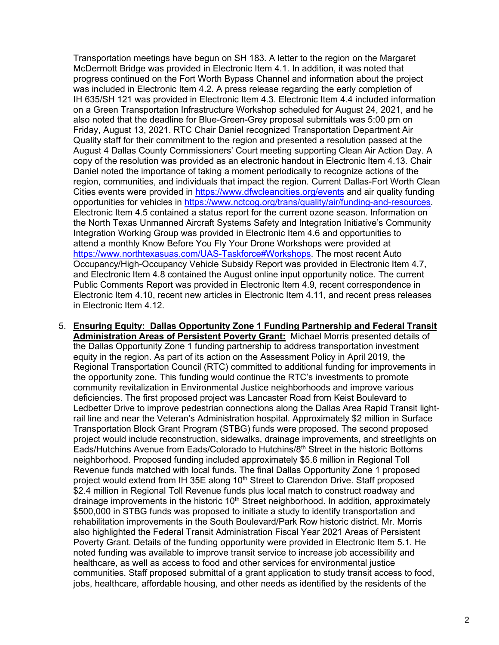Transportation meetings have begun on SH 183. A letter to the region on the Margaret McDermott Bridge was provided in Electronic Item 4.1. In addition, it was noted that progress continued on the Fort Worth Bypass Channel and information about the project was included in Electronic Item 4.2. A press release regarding the early completion of IH 635/SH 121 was provided in Electronic Item 4.3. Electronic Item 4.4 included information on a Green Transportation Infrastructure Workshop scheduled for August 24, 2021, and he also noted that the deadline for Blue-Green-Grey proposal submittals was 5:00 pm on Friday, August 13, 2021. RTC Chair Daniel recognized Transportation Department Air Quality staff for their commitment to the region and presented a resolution passed at the August 4 Dallas County Commissioners' Court meeting supporting Clean Air Action Day. A copy of the resolution was provided as an electronic handout in Electronic Item 4.13. Chair Daniel noted the importance of taking a moment periodically to recognize actions of the region, communities, and individuals that impact the region. Current Dallas-Fort Worth Clean Cities events were provided in<https://www.dfwcleancities.org/events> and air quality funding opportunities for vehicles in [https://www.nctcog.org/trans/quality/air/funding-and-resources.](https://www.nctcog.org/trans/quality/air/funding-and-resources) Electronic Item 4.5 contained a status report for the current ozone season. Information on the North Texas Unmanned Aircraft Systems Safety and Integration Initiative's Community Integration Working Group was provided in Electronic Item 4.6 and opportunities to attend a monthly Know Before You Fly Your Drone Workshops were provided at [https://www.northtexasuas.com/UAS-Taskforce#Workshops.](https://www.northtexasuas.com/UAS-Taskforce#Workshops) The most recent Auto Occupancy/High-Occupancy Vehicle Subsidy Report was provided in Electronic Item 4.7, and Electronic Item 4.8 contained the August online input opportunity notice. The current Public Comments Report was provided in Electronic Item 4.9, recent correspondence in Electronic Item 4.10, recent new articles in Electronic Item 4.11, and recent press releases in Electronic Item 4.12.

5. **Ensuring Equity: Dallas Opportunity Zone 1 Funding Partnership and Federal Transit Administration Areas of Persistent Poverty Grant:** Michael Morris presented details of the Dallas Opportunity Zone 1 funding partnership to address transportation investment equity in the region. As part of its action on the Assessment Policy in April 2019, the Regional Transportation Council (RTC) committed to additional funding for improvements in the opportunity zone. This funding would continue the RTC's investments to promote community revitalization in Environmental Justice neighborhoods and improve various deficiencies. The first proposed project was Lancaster Road from Keist Boulevard to Ledbetter Drive to improve pedestrian connections along the Dallas Area Rapid Transit lightrail line and near the Veteran's Administration hospital. Approximately \$2 million in Surface Transportation Block Grant Program (STBG) funds were proposed. The second proposed project would include reconstruction, sidewalks, drainage improvements, and streetlights on Eads/Hutchins Avenue from Eads/Colorado to Hutchins/8th Street in the historic Bottoms neighborhood. Proposed funding included approximately \$5.6 million in Regional Toll Revenue funds matched with local funds. The final Dallas Opportunity Zone 1 proposed project would extend from IH 35E along 10<sup>th</sup> Street to Clarendon Drive. Staff proposed \$2.4 million in Regional Toll Revenue funds plus local match to construct roadway and drainage improvements in the historic  $10<sup>th</sup>$  Street neighborhood. In addition, approximately \$500,000 in STBG funds was proposed to initiate a study to identify transportation and rehabilitation improvements in the South Boulevard/Park Row historic district. Mr. Morris also highlighted the Federal Transit Administration Fiscal Year 2021 Areas of Persistent Poverty Grant. Details of the funding opportunity were provided in Electronic Item 5.1. He noted funding was available to improve transit service to increase job accessibility and healthcare, as well as access to food and other services for environmental justice communities. Staff proposed submittal of a grant application to study transit access to food, jobs, healthcare, affordable housing, and other needs as identified by the residents of the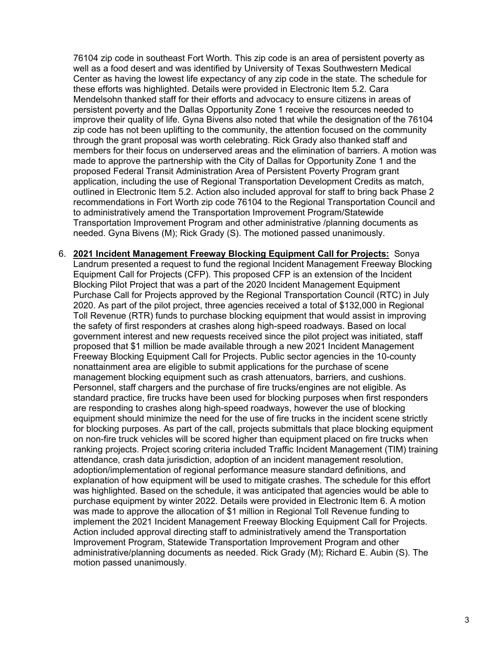76104 zip code in southeast Fort Worth. This zip code is an area of persistent poverty as well as a food desert and was identified by University of Texas Southwestern Medical Center as having the lowest life expectancy of any zip code in the state. The schedule for these efforts was highlighted. Details were provided in Electronic Item 5.2. Cara Mendelsohn thanked staff for their efforts and advocacy to ensure citizens in areas of persistent poverty and the Dallas Opportunity Zone 1 receive the resources needed to improve their quality of life. Gyna Bivens also noted that while the designation of the 76104 zip code has not been uplifting to the community, the attention focused on the community through the grant proposal was worth celebrating. Rick Grady also thanked staff and members for their focus on underserved areas and the elimination of barriers. A motion was made to approve the partnership with the City of Dallas for Opportunity Zone 1 and the proposed Federal Transit Administration Area of Persistent Poverty Program grant application, including the use of Regional Transportation Development Credits as match, outlined in Electronic Item 5.2. Action also included approval for staff to bring back Phase 2 recommendations in Fort Worth zip code 76104 to the Regional Transportation Council and to administratively amend the Transportation Improvement Program/Statewide Transportation Improvement Program and other administrative /planning documents as needed. Gyna Bivens (M); Rick Grady (S). The motioned passed unanimously.

6. **2021 Incident Management Freeway Blocking Equipment Call for Projects:** Sonya Landrum presented a request to fund the regional Incident Management Freeway Blocking Equipment Call for Projects (CFP). This proposed CFP is an extension of the Incident Blocking Pilot Project that was a part of the 2020 Incident Management Equipment Purchase Call for Projects approved by the Regional Transportation Council (RTC) in July 2020. As part of the pilot project, three agencies received a total of \$132,000 in Regional Toll Revenue (RTR) funds to purchase blocking equipment that would assist in improving the safety of first responders at crashes along high-speed roadways. Based on local government interest and new requests received since the pilot project was initiated, staff proposed that \$1 million be made available through a new 2021 Incident Management Freeway Blocking Equipment Call for Projects. Public sector agencies in the 10-county nonattainment area are eligible to submit applications for the purchase of scene management blocking equipment such as crash attenuators, barriers, and cushions. Personnel, staff chargers and the purchase of fire trucks/engines are not eligible. As standard practice, fire trucks have been used for blocking purposes when first responders are responding to crashes along high-speed roadways, however the use of blocking equipment should minimize the need for the use of fire trucks in the incident scene strictly for blocking purposes. As part of the call, projects submittals that place blocking equipment on non-fire truck vehicles will be scored higher than equipment placed on fire trucks when ranking projects. Project scoring criteria included Traffic Incident Management (TIM) training attendance, crash data jurisdiction, adoption of an incident management resolution, adoption/implementation of regional performance measure standard definitions, and explanation of how equipment will be used to mitigate crashes. The schedule for this effort was highlighted. Based on the schedule, it was anticipated that agencies would be able to purchase equipment by winter 2022. Details were provided in Electronic Item 6. A motion was made to approve the allocation of \$1 million in Regional Toll Revenue funding to implement the 2021 Incident Management Freeway Blocking Equipment Call for Projects. Action included approval directing staff to administratively amend the Transportation Improvement Program, Statewide Transportation Improvement Program and other administrative/planning documents as needed. Rick Grady (M); Richard E. Aubin (S). The motion passed unanimously.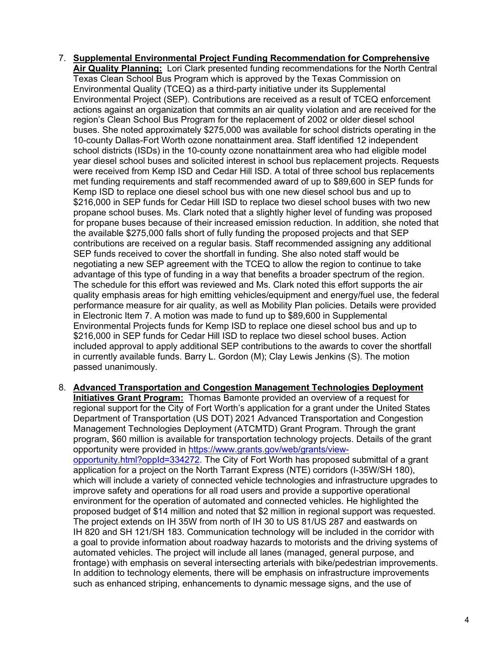- 7. **Supplemental Environmental Project Funding Recommendation for Comprehensive Air Quality Planning:** Lori Clark presented funding recommendations for the North Central Texas Clean School Bus Program which is approved by the Texas Commission on Environmental Quality (TCEQ) as a third-party initiative under its Supplemental Environmental Project (SEP). Contributions are received as a result of TCEQ enforcement actions against an organization that commits an air quality violation and are received for the region's Clean School Bus Program for the replacement of 2002 or older diesel school buses. She noted approximately \$275,000 was available for school districts operating in the 10-county Dallas-Fort Worth ozone nonattainment area. Staff identified 12 independent school districts (ISDs) in the 10-county ozone nonattainment area who had eligible model year diesel school buses and solicited interest in school bus replacement projects. Requests were received from Kemp ISD and Cedar Hill ISD. A total of three school bus replacements met funding requirements and staff recommended award of up to \$89,600 in SEP funds for Kemp ISD to replace one diesel school bus with one new diesel school bus and up to \$216,000 in SEP funds for Cedar Hill ISD to replace two diesel school buses with two new propane school buses. Ms. Clark noted that a slightly higher level of funding was proposed for propane buses because of their increased emission reduction. In addition, she noted that the available \$275,000 falls short of fully funding the proposed projects and that SEP contributions are received on a regular basis. Staff recommended assigning any additional SEP funds received to cover the shortfall in funding. She also noted staff would be negotiating a new SEP agreement with the TCEQ to allow the region to continue to take advantage of this type of funding in a way that benefits a broader spectrum of the region. The schedule for this effort was reviewed and Ms. Clark noted this effort supports the air quality emphasis areas for high emitting vehicles/equipment and energy/fuel use, the federal performance measure for air quality, as well as Mobility Plan policies. Details were provided in Electronic Item 7. A motion was made to fund up to \$89,600 in Supplemental Environmental Projects funds for Kemp ISD to replace one diesel school bus and up to \$216,000 in SEP funds for Cedar Hill ISD to replace two diesel school buses. Action included approval to apply additional SEP contributions to the awards to cover the shortfall in currently available funds. Barry L. Gordon (M); Clay Lewis Jenkins (S). The motion passed unanimously.
- 8. **Advanced Transportation and Congestion Management Technologies Deployment Initiatives Grant Program:** Thomas Bamonte provided an overview of a request for regional support for the City of Fort Worth's application for a grant under the United States Department of Transportation (US DOT) 2021 Advanced Transportation and Congestion Management Technologies Deployment (ATCMTD) Grant Program. Through the grant program, \$60 million is available for transportation technology projects. Details of the grant opportunity were provided in [https://www.grants.gov/web/grants/view](https://www.grants.gov/web/grants/view-opportunity.html?oppId=334272)[opportunity.html?oppId=334272.](https://www.grants.gov/web/grants/view-opportunity.html?oppId=334272) The City of Fort Worth has proposed submittal of a grant application for a project on the North Tarrant Express (NTE) corridors (I-35W/SH 180), which will include a variety of connected vehicle technologies and infrastructure upgrades to improve safety and operations for all road users and provide a supportive operational environment for the operation of automated and connected vehicles. He highlighted the proposed budget of \$14 million and noted that \$2 million in regional support was requested. The project extends on IH 35W from north of IH 30 to US 81/US 287 and eastwards on IH 820 and SH 121/SH 183. Communication technology will be included in the corridor with a goal to provide information about roadway hazards to motorists and the driving systems of automated vehicles. The project will include all lanes (managed, general purpose, and frontage) with emphasis on several intersecting arterials with bike/pedestrian improvements. In addition to technology elements, there will be emphasis on infrastructure improvements such as enhanced striping, enhancements to dynamic message signs, and the use of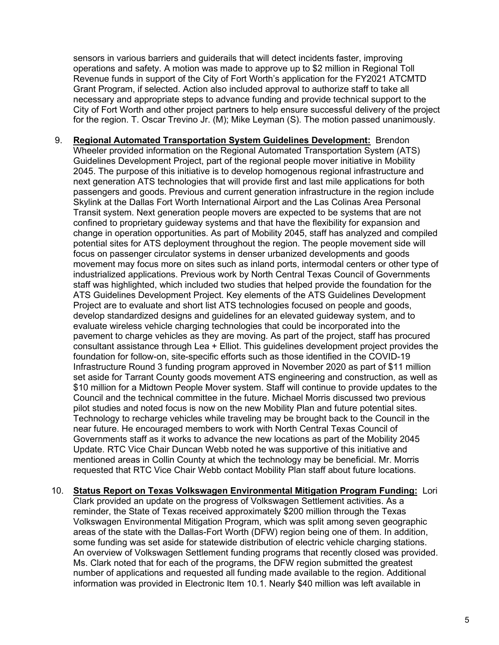sensors in various barriers and guiderails that will detect incidents faster, improving operations and safety. A motion was made to approve up to \$2 million in Regional Toll Revenue funds in support of the City of Fort Worth's application for the FY2021 ATCMTD Grant Program, if selected. Action also included approval to authorize staff to take all necessary and appropriate steps to advance funding and provide technical support to the City of Fort Worth and other project partners to help ensure successful delivery of the project for the region. T. Oscar Trevino Jr. (M); Mike Leyman (S). The motion passed unanimously.

- 9. **Regional Automated Transportation System Guidelines Development:** Brendon Wheeler provided information on the Regional Automated Transportation System (ATS) Guidelines Development Project, part of the regional people mover initiative in Mobility 2045. The purpose of this initiative is to develop homogenous regional infrastructure and next generation ATS technologies that will provide first and last mile applications for both passengers and goods. Previous and current generation infrastructure in the region include Skylink at the Dallas Fort Worth International Airport and the Las Colinas Area Personal Transit system. Next generation people movers are expected to be systems that are not confined to proprietary guideway systems and that have the flexibility for expansion and change in operation opportunities. As part of Mobility 2045, staff has analyzed and compiled potential sites for ATS deployment throughout the region. The people movement side will focus on passenger circulator systems in denser urbanized developments and goods movement may focus more on sites such as inland ports, intermodal centers or other type of industrialized applications. Previous work by North Central Texas Council of Governments staff was highlighted, which included two studies that helped provide the foundation for the ATS Guidelines Development Project. Key elements of the ATS Guidelines Development Project are to evaluate and short list ATS technologies focused on people and goods, develop standardized designs and guidelines for an elevated guideway system, and to evaluate wireless vehicle charging technologies that could be incorporated into the pavement to charge vehicles as they are moving. As part of the project, staff has procured consultant assistance through Lea + Elliot. This guidelines development project provides the foundation for follow-on, site-specific efforts such as those identified in the COVID-19 Infrastructure Round 3 funding program approved in November 2020 as part of \$11 million set aside for Tarrant County goods movement ATS engineering and construction, as well as \$10 million for a Midtown People Mover system. Staff will continue to provide updates to the Council and the technical committee in the future. Michael Morris discussed two previous pilot studies and noted focus is now on the new Mobility Plan and future potential sites. Technology to recharge vehicles while traveling may be brought back to the Council in the near future. He encouraged members to work with North Central Texas Council of Governments staff as it works to advance the new locations as part of the Mobility 2045 Update. RTC Vice Chair Duncan Webb noted he was supportive of this initiative and mentioned areas in Collin County at which the technology may be beneficial. Mr. Morris requested that RTC Vice Chair Webb contact Mobility Plan staff about future locations.
- 10. **Status Report on Texas Volkswagen Environmental Mitigation Program Funding:** Lori Clark provided an update on the progress of Volkswagen Settlement activities. As a reminder, the State of Texas received approximately \$200 million through the Texas Volkswagen Environmental Mitigation Program, which was split among seven geographic areas of the state with the Dallas-Fort Worth (DFW) region being one of them. In addition, some funding was set aside for statewide distribution of electric vehicle charging stations. An overview of Volkswagen Settlement funding programs that recently closed was provided. Ms. Clark noted that for each of the programs, the DFW region submitted the greatest number of applications and requested all funding made available to the region. Additional information was provided in Electronic Item 10.1. Nearly \$40 million was left available in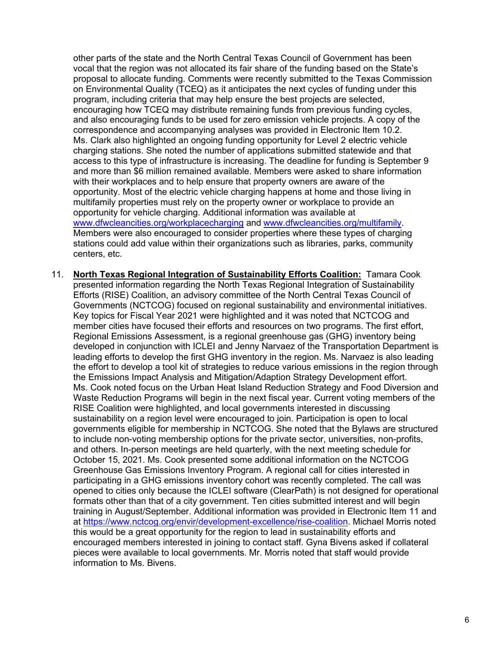other parts of the state and the North Central Texas Council of Government has been vocal that the region was not allocated its fair share of the funding based on the State's proposal to allocate funding. Comments were recently submitted to the Texas Commission on Environmental Quality (TCEQ) as it anticipates the next cycles of funding under this program, including criteria that may help ensure the best projects are selected, encouraging how TCEQ may distribute remaining funds from previous funding cycles, and also encouraging funds to be used for zero emission vehicle projects. A copy of the correspondence and accompanying analyses was provided in Electronic Item 10.2. Ms. Clark also highlighted an ongoing funding opportunity for Level 2 electric vehicle charging stations. She noted the number of applications submitted statewide and that access to this type of infrastructure is increasing. The deadline for funding is September 9 and more than \$6 million remained available. Members were asked to share information with their workplaces and to help ensure that property owners are aware of the opportunity. Most of the electric vehicle charging happens at home and those living in multifamily properties must rely on the property owner or workplace to provide an opportunity for vehicle charging. Additional information was available at www.dfwcleancities.org/workplacecharging and www.dfwcleancities.org/multifamily. Members were also encouraged to consider properties where these types of charging stations could add value within their organizations such as libraries, parks, community centers, etc.

11. **North Texas Regional Integration of Sustainability Efforts Coalition:** Tamara Cook presented information regarding the North Texas Regional Integration of Sustainability Efforts (RISE) Coalition, an advisory committee of the North Central Texas Council of Governments (NCTCOG) focused on regional sustainability and environmental initiatives. Key topics for Fiscal Year 2021 were highlighted and it was noted that NCTCOG and member cities have focused their efforts and resources on two programs. The first effort, Regional Emissions Assessment, is a regional greenhouse gas (GHG) inventory being developed in conjunction with ICLEI and Jenny Narvaez of the Transportation Department is leading efforts to develop the first GHG inventory in the region. Ms. Narvaez is also leading the effort to develop a tool kit of strategies to reduce various emissions in the region through the Emissions Impact Analysis and Mitigation/Adaption Strategy Development effort. Ms. Cook noted focus on the Urban Heat Island Reduction Strategy and Food Diversion and Waste Reduction Programs will begin in the next fiscal year. Current voting members of the RISE Coalition were highlighted, and local governments interested in discussing sustainability on a region level were encouraged to join. Participation is open to local governments eligible for membership in NCTCOG. She noted that the Bylaws are structured to include non-voting membership options for the private sector, universities, non-profits, and others. In-person meetings are held quarterly, with the next meeting schedule for October 15, 2021. Ms. Cook presented some additional information on the NCTCOG Greenhouse Gas Emissions Inventory Program. A regional call for cities interested in participating in a GHG emissions inventory cohort was recently completed. The call was opened to cities only because the ICLEI software (ClearPath) is not designed for operational formats other than that of a city government. Ten cities submitted interest and will begin training in August/September. Additional information was provided in Electronic Item 11 and at https://www.nctcog.org/envir/development-excellence/rise-coalition. Michael Morris noted this would be a great opportunity for the region to lead in sustainability efforts and encouraged members interested in joining to contact staff. Gyna Bivens asked if collateral pieces were available to local governments. Mr. Morris noted that staff would provide information to Ms. Bivens.